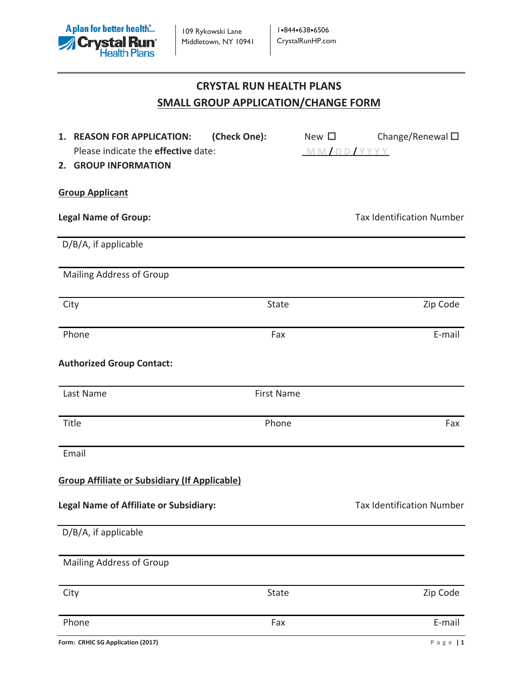

# **CRYSTAL RUN HEALTH PLANS SMALL GROUP APPLICATION/CHANGE FORM**

| (Check One):<br>1. REASON FOR APPLICATION:           |                   | New $\square$ | Change/Renewal $\square$         |
|------------------------------------------------------|-------------------|---------------|----------------------------------|
| Please indicate the effective date:                  |                   |               | MM/DD/YYYY                       |
| 2. GROUP INFORMATION                                 |                   |               |                                  |
|                                                      |                   |               |                                  |
| <b>Group Applicant</b>                               |                   |               |                                  |
| <b>Legal Name of Group:</b>                          |                   |               | <b>Tax Identification Number</b> |
| D/B/A, if applicable                                 |                   |               |                                  |
| Mailing Address of Group                             |                   |               |                                  |
| City                                                 | State             |               | Zip Code                         |
|                                                      |                   |               |                                  |
| Phone                                                | Fax               |               | E-mail                           |
| <b>Authorized Group Contact:</b>                     |                   |               |                                  |
| Last Name                                            | <b>First Name</b> |               |                                  |
| Title                                                | Phone             |               | Fax                              |
| Email                                                |                   |               |                                  |
| <b>Group Affiliate or Subsidiary (If Applicable)</b> |                   |               |                                  |
| <b>Legal Name of Affiliate or Subsidiary:</b>        |                   |               | <b>Tax Identification Number</b> |
| D/B/A, if applicable                                 |                   |               |                                  |
| <b>Mailing Address of Group</b>                      |                   |               |                                  |
| City                                                 | State             |               | Zip Code                         |
| Phone                                                | Fax               |               | E-mail                           |
| Form: CRHIC SG Application (2017)                    |                   |               | Page $1$                         |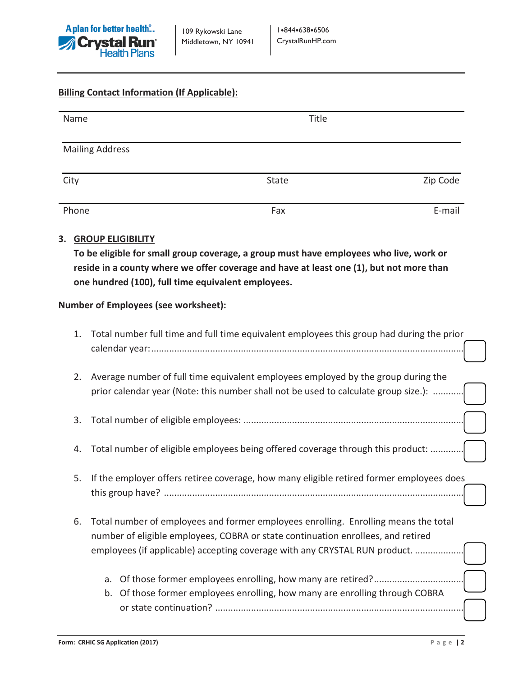

## **Billing Contact Information (If Applicable):**

| Name                   | Title |          |
|------------------------|-------|----------|
| <b>Mailing Address</b> |       |          |
| City                   | State | Zip Code |
| Phone                  | Fax   | E-mail   |

#### **3. GROUP ELIGIBILITY**

**To be eligible for small group coverage, a group must have employees who live, work or reside in a county where we offer coverage and have at least one (1), but not more than one hundred (100), full time equivalent employees.** 

#### **Number of Employees (see worksheet):**

| 1. | Total number full time and full time equivalent employees this group had during the prior                                                                                                                                                             |
|----|-------------------------------------------------------------------------------------------------------------------------------------------------------------------------------------------------------------------------------------------------------|
| 2. | Average number of full time equivalent employees employed by the group during the<br>prior calendar year (Note: this number shall not be used to calculate group size.):                                                                              |
| 3. |                                                                                                                                                                                                                                                       |
| 4. | Total number of eligible employees being offered coverage through this product:                                                                                                                                                                       |
| 5. | If the employer offers retiree coverage, how many eligible retired former employees does                                                                                                                                                              |
| 6. | Total number of employees and former employees enrolling. Enrolling means the total<br>number of eligible employees, COBRA or state continuation enrollees, and retired<br>employees (if applicable) accepting coverage with any CRYSTAL RUN product. |
|    | Of those former employees enrolling, how many are retired?<br>a.<br>Of those former employees enrolling, how many are enrolling through COBRA<br>b.                                                                                                   |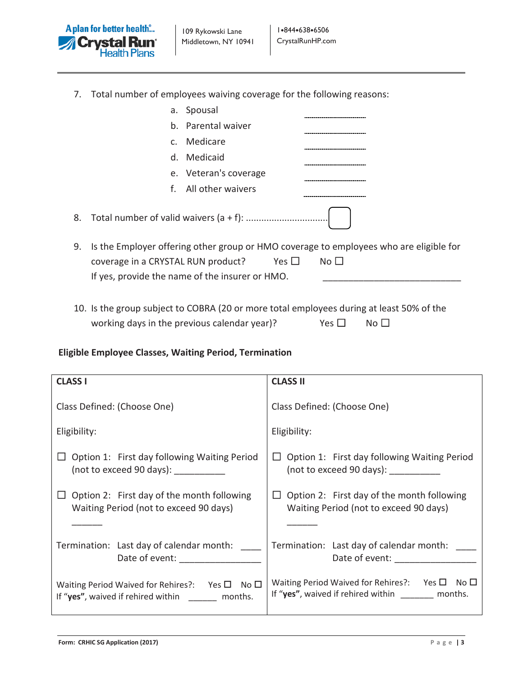

7. Total number of employees waiving coverage for the following reasons:

|    |                                                                                       | a. Spousal            |            |                                                                                                        |
|----|---------------------------------------------------------------------------------------|-----------------------|------------|--------------------------------------------------------------------------------------------------------|
|    |                                                                                       | b. Parental waiver    |            |                                                                                                        |
|    |                                                                                       | c. Medicare           |            |                                                                                                        |
|    |                                                                                       | d. Medicaid           |            |                                                                                                        |
|    |                                                                                       | e. Veteran's coverage |            |                                                                                                        |
|    | f.                                                                                    | All other waivers     |            |                                                                                                        |
|    |                                                                                       |                       |            |                                                                                                        |
| 9. | coverage in a CRYSTAL RUN product?<br>If yes, provide the name of the insurer or HMO. |                       | Yes $\Box$ | Is the Employer offering other group or HMO coverage to employees who are eligible for<br>No $\square$ |

10. Is the group subject to COBRA (20 or more total employees during at least 50% of the working days in the previous calendar year)? Yes □ No □

## **Eligible Employee Classes, Waiting Period, Termination**

| <b>CLASS I</b>                                                                                                                                                                                                                                                             | <b>CLASS II</b>                                                                                                                                            |
|----------------------------------------------------------------------------------------------------------------------------------------------------------------------------------------------------------------------------------------------------------------------------|------------------------------------------------------------------------------------------------------------------------------------------------------------|
| Class Defined: (Choose One)                                                                                                                                                                                                                                                | Class Defined: (Choose One)                                                                                                                                |
| Eligibility:                                                                                                                                                                                                                                                               | Eligibility:                                                                                                                                               |
| Option 1: First day following Waiting Period<br>(not to exceed 90 days):                                                                                                                                                                                                   | Option 1: First day following Waiting Period<br>(not to exceed 90 days):                                                                                   |
| Option 2: First day of the month following<br>Waiting Period (not to exceed 90 days)                                                                                                                                                                                       | Option 2: First day of the month following<br>Waiting Period (not to exceed 90 days)                                                                       |
| Termination: Last day of calendar month:<br>Date of event: and the part of the part of the part of the part of the part of the part of the part of the part of the part of the part of the part of the part of the part of the part of the part of the part of the part of | Termination: Last day of calendar month:<br>Date of event: and the part of the part of the part of the part of the part of the part of the part of the par |
| Waiting Period Waived for Rehires?: Yes $\square$ No $\square$<br>If "yes", waived if rehired within ________ months.                                                                                                                                                      | Waiting Period Waived for Rehires?: Yes $\Box$<br>No $\Box$<br>If "yes", waived if rehired within _______ months.                                          |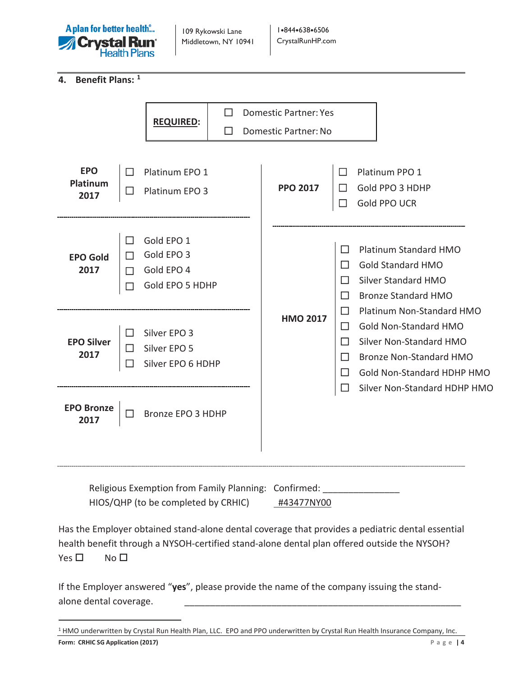

109 Rykowski Lane Middletown, NY 10941

**4. Benefit Plans: [1](#page-3-0)**

|                                                      |                                         | <b>REQUIRED:</b>                                          | ΙI |                      | <b>Domestic Partner: Yes</b> |                                                       |                                                        |                                                                                                                                                      |                              |
|------------------------------------------------------|-----------------------------------------|-----------------------------------------------------------|----|----------------------|------------------------------|-------------------------------------------------------|--------------------------------------------------------|------------------------------------------------------------------------------------------------------------------------------------------------------|------------------------------|
|                                                      | ΙI                                      |                                                           |    | Domestic Partner: No |                              |                                                       |                                                        |                                                                                                                                                      |                              |
| <b>EPO</b><br>Platinum                               | П                                       | Platinum EPO 1                                            |    |                      | <b>PPO 2017</b>              | $\Box$                                                | Platinum PPO 1                                         |                                                                                                                                                      |                              |
| 2017                                                 | □                                       | Platinum EPO 3                                            |    |                      |                              | $\Box$                                                | Gold PPO 3 HDHP<br>Gold PPO UCR                        |                                                                                                                                                      |                              |
| <b>EPO Gold</b><br>2017                              | $\overline{\phantom{a}}$<br>П<br>П<br>П | Gold EPO 1<br>Gold EPO 3<br>Gold EPO 4<br>Gold EPO 5 HDHP |    |                      |                              | $\Box$<br>$\mathsf{L}$<br>П<br>П                      | <b>Gold Standard HMO</b><br><b>Silver Standard HMO</b> | Platinum Standard HMO<br><b>Bronze Standard HMO</b>                                                                                                  |                              |
| <b>EPO Silver</b><br>2017                            | П<br>ΙI<br>□                            | Silver EPO 3<br>Silver EPO 5<br>Silver EPO 6 HDHP         |    |                      | <b>HMO 2017</b>              | $\Box$<br>$\mathsf{L}$<br>$\mathsf{L}$<br>$\Box$<br>П |                                                        | Platinum Non-Standard HMO<br><b>Gold Non-Standard HMO</b><br>Silver Non-Standard HMO<br><b>Bronze Non-Standard HMO</b><br>Gold Non-Standard HDHP HMO |                              |
| <b>EPO Bronze</b><br>2017                            | П                                       | Bronze EPO 3 HDHP                                         |    |                      |                              |                                                       |                                                        |                                                                                                                                                      | Silver Non-Standard HDHP HMO |
| Religious Exemption from Family Planning: Confirmed: |                                         |                                                           |    |                      |                              |                                                       |                                                        |                                                                                                                                                      |                              |

HIOS/QHP (to be completed by CRHIC) +43477NY00

Has the Employer obtained stand-alone dental coverage that provides a pediatric dental essential health benefit through a NYSOH-certified stand-alone dental plan offered outside the NYSOH?  $Yes \Box$  No  $\Box$ 

If the Employer answered "**yes**", please provide the name of the company issuing the standalone dental coverage.

<span id="page-3-0"></span>**Form: CRHIC SG Application (2017) Page | 4** 1 HMO underwritten by Crystal Run Health Plan, LLC. EPO and PPO underwritten by Crystal Run Health Insurance Company, Inc.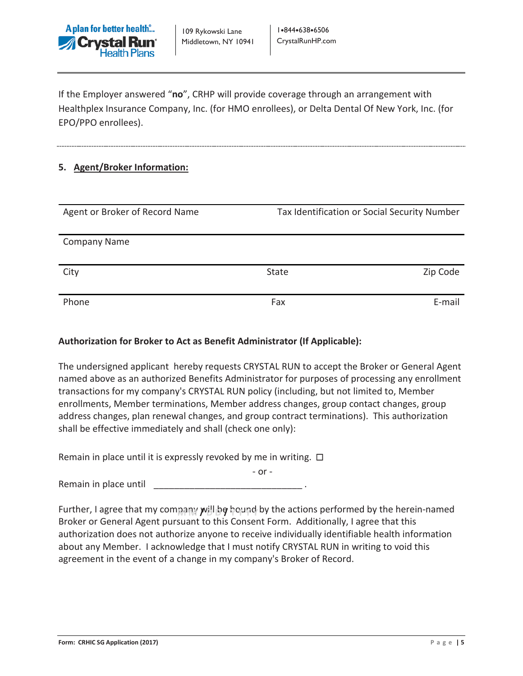

If the Employer answered "**no**", CRHP will provide coverage through an arrangement with Healthplex Insurance Company, Inc. (for HMO enrollees), or Delta Dental Of New York, Inc. (for EPO/PPO enrollees).

#### **5. Agent/Broker Information:**

| Agent or Broker of Record Name | Tax Identification or Social Security Number |          |  |  |
|--------------------------------|----------------------------------------------|----------|--|--|
| <b>Company Name</b>            |                                              |          |  |  |
| City                           | <b>State</b>                                 | Zip Code |  |  |
| Phone                          | Fax                                          | E-mail   |  |  |

#### **Authorization for Broker to Act as Benefit Administrator (If Applicable):**

The undersigned applicant hereby requests CRYSTAL RUN to accept the Broker or General Agent named above as an authorized Benefits Administrator for purposes of processing any enrollment transactions for my company's CRYSTAL RUN policy (including, but not limited to, Member enrollments, Member terminations, Member address changes, group contact changes, group address changes, plan renewal changes, and group contract terminations). This authorization shall be effective immediately and shall (check one only):

Remain in place until it is expressly revoked by me in writing.  $\Box$ 

- or - Remain in place until

Further, I agree that my company **y**վ ից hound by the actions performed by the herein-named Broker or General Agent pursuant to this Consent Form. Additionally, I agree that this authorization does not authorize anyone to receive individually identifiable health information about any Member. I acknowledge that I must notify CRYSTAL RUN in writing to void this agreement in the event of a change in my company's Broker of Record.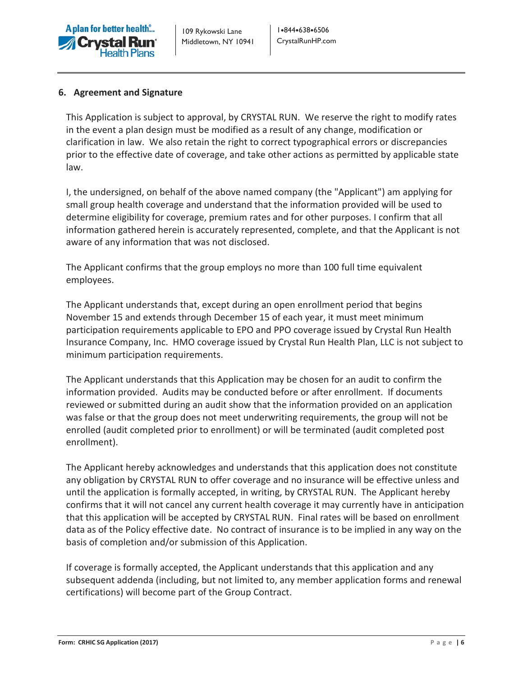

#### **6. Agreement and Signature**

This Application is subject to approval, by CRYSTAL RUN. We reserve the right to modify rates in the event a plan design must be modified as a result of any change, modification or clarification in law. We also retain the right to correct typographical errors or discrepancies prior to the effective date of coverage, and take other actions as permitted by applicable state law.

I, the undersigned, on behalf of the above named company (the "Applicant") am applying for small group health coverage and understand that the information provided will be used to determine eligibility for coverage, premium rates and for other purposes. I confirm that all information gathered herein is accurately represented, complete, and that the Applicant is not aware of any information that was not disclosed.

The Applicant confirms that the group employs no more than 100 full time equivalent employees.

The Applicant understands that, except during an open enrollment period that begins November 15 and extends through December 15 of each year, it must meet minimum participation requirements applicable to EPO and PPO coverage issued by Crystal Run Health Insurance Company, Inc. HMO coverage issued by Crystal Run Health Plan, LLC is not subject to minimum participation requirements.

The Applicant understands that this Application may be chosen for an audit to confirm the information provided. Audits may be conducted before or after enrollment. If documents reviewed or submitted during an audit show that the information provided on an application was false or that the group does not meet underwriting requirements, the group will not be enrolled (audit completed prior to enrollment) or will be terminated (audit completed post enrollment).

The Applicant hereby acknowledges and understands that this application does not constitute any obligation by CRYSTAL RUN to offer coverage and no insurance will be effective unless and until the application is formally accepted, in writing, by CRYSTAL RUN. The Applicant hereby confirms that it will not cancel any current health coverage it may currently have in anticipation that this application will be accepted by CRYSTAL RUN. Final rates will be based on enrollment data as of the Policy effective date. No contract of insurance is to be implied in any way on the basis of completion and/or submission of this Application.

If coverage is formally accepted, the Applicant understands that this application and any subsequent addenda (including, but not limited to, any member application forms and renewal certifications) will become part of the Group Contract.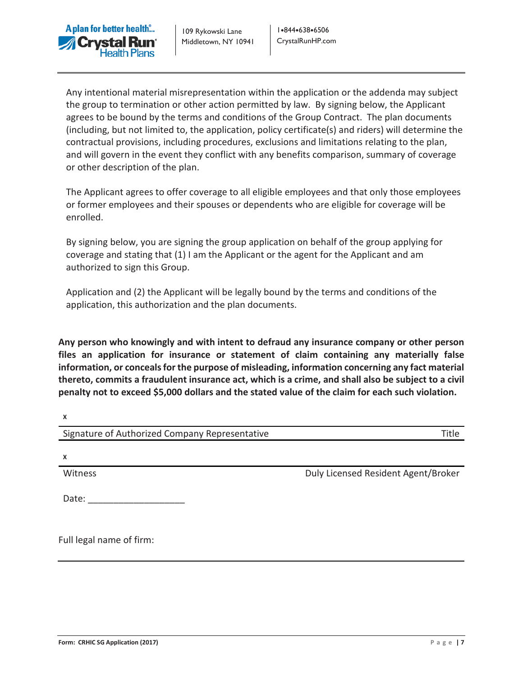

109 Rykowski Lane Middletown, NY 10941 1.844.638.6506 CrystalRunHP.com

Any intentional material misrepresentation within the application or the addenda may subject the group to termination or other action permitted by law. By signing below, the Applicant agrees to be bound by the terms and conditions of the Group Contract. The plan documents (including, but not limited to, the application, policy certificate(s) and riders) will determine the contractual provisions, including procedures, exclusions and limitations relating to the plan, and will govern in the event they conflict with any benefits comparison, summary of coverage or other description of the plan.

The Applicant agrees to offer coverage to all eligible employees and that only those employees or former employees and their spouses or dependents who are eligible for coverage will be enrolled.

By signing below, you are signing the group application on behalf of the group applying for coverage and stating that (1) I am the Applicant or the agent for the Applicant and am authorized to sign this Group.

Application and (2) the Applicant will be legally bound by the terms and conditions of the application, this authorization and the plan documents.

**Any person who knowingly and with intent to defraud any insurance company or other person files an application for insurance or statement of claim containing any materially false information, or conceals for the purpose of misleading, information concerning any fact material thereto, commits a fraudulent insurance act, which is a crime, and shall also be subject to a civil penalty not to exceed \$5,000 dollars and the stated value of the claim for each such violation.**

| $\mathbf{v}$                                   |                                     |
|------------------------------------------------|-------------------------------------|
| Signature of Authorized Company Representative | Title                               |
|                                                |                                     |
| X                                              |                                     |
| Witness                                        | Duly Licensed Resident Agent/Broker |
|                                                |                                     |
| Date:                                          |                                     |
|                                                |                                     |
|                                                |                                     |

Full legal name of firm:

 $\mathbf{v}$